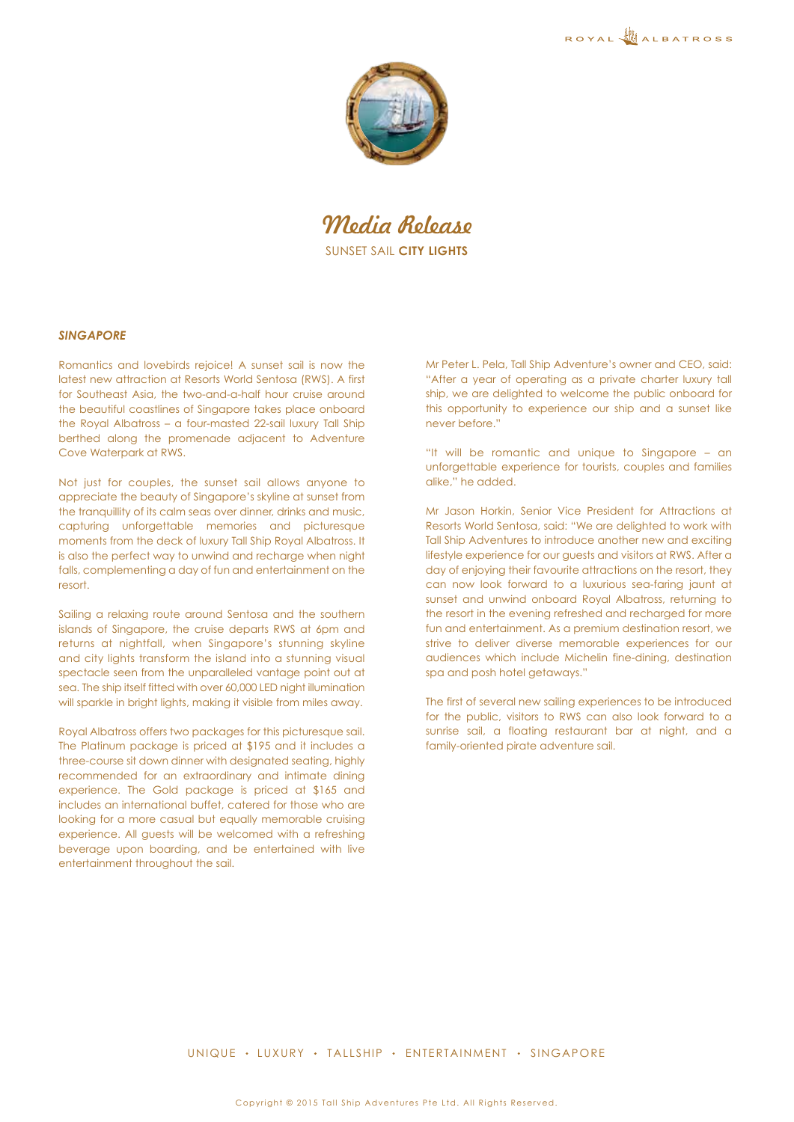

Media Release SUNSET SAIL **CITY LIGHTS**

## *SINGAPORE*

Romantics and lovebirds rejoice! A sunset sail is now the latest new attraction at Resorts World Sentosa (RWS). A first for Southeast Asia, the two-and-a-half hour cruise around the beautiful coastlines of Singapore takes place onboard the Royal Albatross – a four-masted 22-sail luxury Tall Ship berthed along the promenade adjacent to Adventure Cove Waterpark at RWS.

Not just for couples, the sunset sail allows anyone to appreciate the beauty of Singapore's skyline at sunset from the tranquillity of its calm seas over dinner, drinks and music, capturing unforgettable memories and picturesque moments from the deck of luxury Tall Ship Royal Albatross. It is also the perfect way to unwind and recharge when night falls, complementing a day of fun and entertainment on the resort.

Sailing a relaxing route around Sentosa and the southern islands of Singapore, the cruise departs RWS at 6pm and returns at nightfall, when Singapore's stunning skyline and city lights transform the island into a stunning visual spectacle seen from the unparalleled vantage point out at sea. The ship itself fitted with over 60,000 LED night illumination will sparkle in bright lights, making it visible from miles away.

Royal Albatross offers two packages for this picturesque sail. The Platinum package is priced at \$195 and it includes a three-course sit down dinner with designated seating, highly recommended for an extraordinary and intimate dining experience. The Gold package is priced at \$165 and includes an international buffet, catered for those who are looking for a more casual but equally memorable cruising experience. All guests will be welcomed with a refreshing beverage upon boarding, and be entertained with live entertainment throughout the sail.

Mr Peter L. Pela, Tall Ship Adventure's owner and CEO, said: "After a year of operating as a private charter luxury tall ship, we are delighted to welcome the public onboard for this opportunity to experience our ship and a sunset like never before."

"It will be romantic and unique to Singapore – an unforgettable experience for tourists, couples and families alike," he added.

Mr Jason Horkin, Senior Vice President for Attractions at Resorts World Sentosa, said: "We are delighted to work with Tall Ship Adventures to introduce another new and exciting lifestyle experience for our guests and visitors at RWS. After a day of enjoying their favourite attractions on the resort, they can now look forward to a luxurious sea-faring jaunt at sunset and unwind onboard Royal Albatross, returning to the resort in the evening refreshed and recharged for more fun and entertainment. As a premium destination resort, we strive to deliver diverse memorable experiences for our audiences which include Michelin fine-dining, destination spa and posh hotel getaways."

The first of several new sailing experiences to be introduced for the public, visitors to RWS can also look forward to a sunrise sail, a floating restaurant bar at night, and a family-oriented pirate adventure sail.

UNIQUE · LUXURY · TALLSHIP · ENTERTAINMENT · SINGAPORE